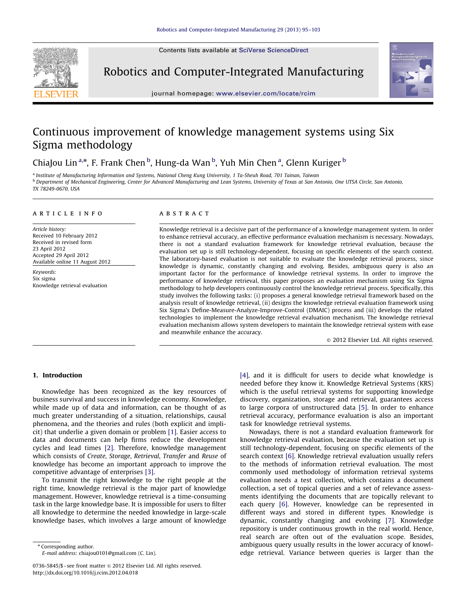Contents lists available at [SciVerse ScienceDirect](www.elsevier.com/locate/rcim)



Robotics and Computer-Integrated Manufacturing



journal homepage: <www.elsevier.com/locate/rcim>

# Continuous improvement of knowledge management systems using Six Sigma methodology

ChiaJou Lin<sup>a,\*</sup>, F. Frank Chen <sup>b</sup>, Hung-da Wan <sup>b</sup>, Yuh Min Chen <sup>a</sup>, Glenn Kuriger <sup>b</sup>

a Institute of Manufacturing Information and Systems, National Cheng Kung University, 1 Ta-Sheuh Road, 701 Tainan, Taiwan b Department of Mechanical Engineering, Center for Advanced Manufacturing and Lean Systems, University of Texas at San Antonio, One UTSA Circle, San Antonio, TX 78249-0670, USA

#### article info

Article history: Received 10 February 2012 Received in revised form 23 April 2012 Accepted 29 April 2012 Available online 11 August 2012

Keywords: Six sigma Knowledge retrieval evaluation

### **ABSTRACT**

Knowledge retrieval is a decisive part of the performance of a knowledge management system. In order to enhance retrieval accuracy, an effective performance evaluation mechanism is necessary. Nowadays, there is not a standard evaluation framework for knowledge retrieval evaluation, because the evaluation set up is still technology-dependent, focusing on specific elements of the search context. The laboratory-based evaluation is not suitable to evaluate the knowledge retrieval process, since knowledge is dynamic, constantly changing and evolving. Besides, ambiguous query is also an important factor for the performance of knowledge retrieval systems. In order to improve the performance of knowledge retrieval, this paper proposes an evaluation mechanism using Six Sigma methodology to help developers continuously control the knowledge retrieval process. Specifically, this study involves the following tasks: (i) proposes a general knowledge retrieval framework based on the analysis result of knowledge retrieval, (ii) designs the knowledge retrieval evaluation framework using Six Sigma's Define-Measure-Analyze-Improve-Control (DMAIC) process and (iii) develops the related technologies to implement the knowledge retrieval evaluation mechanism. The knowledge retrieval evaluation mechanism allows system developers to maintain the knowledge retrieval system with ease and meanwhile enhance the accuracy.

 $\odot$  2012 Elsevier Ltd. All rights reserved.

## 1. Introduction

Knowledge has been recognized as the key resources of business survival and success in knowledge economy. Knowledge, while made up of data and information, can be thought of as much greater understanding of a situation, relationships, causal phenomena, and the theories and rules (both explicit and implicit) that underlie a given domain or problem [\[1\]](#page--1-0). Easier access to data and documents can help firms reduce the development cycles and lead times [\[2\].](#page--1-0) Therefore, knowledge management which consists of Create, Storage, Retrieval, Transfer and Reuse of knowledge has become an important approach to improve the competitive advantage of enterprises [\[3\]](#page--1-0).

To transmit the right knowledge to the right people at the right time, knowledge retrieval is the major part of knowledge management. However, knowledge retrieval is a time-consuming task in the large knowledge base. It is impossible for users to filter all knowledge to determine the needed knowledge in large-scale knowledge bases, which involves a large amount of knowledge

\* Corresponding author. E-mail address: [chiajou0101@gmail.com \(C. Lin\)](mailto:chiajou0101@gmail.com). [\[4\]](#page--1-0), and it is difficult for users to decide what knowledge is needed before they know it. Knowledge Retrieval Systems (KRS) which is the useful retrieval systems for supporting knowledge discovery, organization, storage and retrieval, guarantees access to large corpora of unstructured data [\[5\].](#page--1-0) In order to enhance retrieval accuracy, performance evaluation is also an important task for knowledge retrieval systems.

Nowadays, there is not a standard evaluation framework for knowledge retrieval evaluation, because the evaluation set up is still technology-dependent, focusing on specific elements of the search context [\[6\].](#page--1-0) Knowledge retrieval evaluation usually refers to the methods of information retrieval evaluation. The most commonly used methodology of information retrieval systems evaluation needs a test collection, which contains a document collection, a set of topical queries and a set of relevance assessments identifying the documents that are topically relevant to each query [\[6\]](#page--1-0). However, knowledge can be represented in different ways and stored in different types. Knowledge is dynamic, constantly changing and evolving [\[7\]](#page--1-0). Knowledge repository is under continuous growth in the real world. Hence, real search are often out of the evaluation scope. Besides, ambiguous query usually results in the lower accuracy of knowledge retrieval. Variance between queries is larger than the

<sup>0736-5845/\$ -</sup> see front matter @ 2012 Elsevier Ltd. All rights reserved. [http://dx.doi.org/10.1016/j.rcim.2012.04.018](dx.doi.org/10.1016/j.rcim.2012.04.018)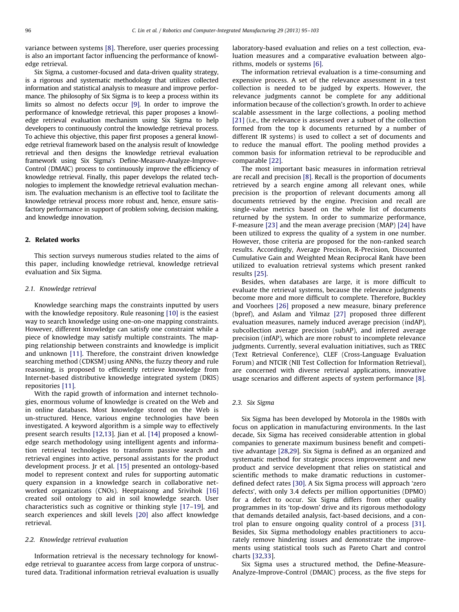variance between systems [\[8\].](#page--1-0) Therefore, user queries processing is also an important factor influencing the performance of knowledge retrieval.

Six Sigma, a customer-focused and data-driven quality strategy, is a rigorous and systematic methodology that utilizes collected information and statistical analysis to measure and improve performance. The philosophy of Six Sigma is to keep a process within its limits so almost no defects occur [\[9\].](#page--1-0) In order to improve the performance of knowledge retrieval, this paper proposes a knowledge retrieval evaluation mechanism using Six Sigma to help developers to continuously control the knowledge retrieval process. To achieve this objective, this paper first proposes a general knowledge retrieval framework based on the analysis result of knowledge retrieval and then designs the knowledge retrieval evaluation framework using Six Sigma's Define-Measure-Analyze-Improve-Control (DMAIC) process to continuously improve the efficiency of knowledge retrieval. Finally, this paper develops the related technologies to implement the knowledge retrieval evaluation mechanism. The evaluation mechanism is an effective tool to facilitate the knowledge retrieval process more robust and, hence, ensure satisfactory performance in support of problem solving, decision making, and knowledge innovation.

#### 2. Related works

This section surveys numerous studies related to the aims of this paper, including knowledge retrieval, knowledge retrieval evaluation and Six Sigma.

#### 2.1. Knowledge retrieval

Knowledge searching maps the constraints inputted by users with the knowledge repository. Rule reasoning [\[10\]](#page--1-0) is the easiest way to search knowledge using one-on-one mapping constraints. However, different knowledge can satisfy one constraint while a piece of knowledge may satisfy multiple constraints. The mapping relationship between constraints and knowledge is implicit and unknown [\[11\].](#page--1-0) Therefore, the constraint driven knowledge searching method (CDKSM) using ANNs, the fuzzy theory and rule reasoning, is proposed to efficiently retrieve knowledge from Internet-based distributive knowledge integrated system (DKIS) repositories [\[11\]](#page--1-0).

With the rapid growth of information and internet technologies, enormous volume of knowledge is created on the Web and in online databases. Most knowledge stored on the Web is un-structured. Hence, various engine technologies have been investigated. A keyword algorithm is a simple way to effectively present search results [\[12,13\]](#page--1-0). Jian et al. [\[14\]](#page--1-0) proposed a knowledge search methodology using intelligent agents and information retrieval technologies to transform passive search and retrieval engines into active, personal assistants for the product development process. Jr et al. [\[15\]](#page--1-0) presented an ontology-based model to represent context and rules for supporting automatic query expansion in a knowledge search in collaborative networked organizations (CNOs). Heeptaisong and Srivihok [\[16\]](#page--1-0) created soil ontology to aid in soil knowledge search. User characteristics such as cognitive or thinking style [\[17–19\]](#page--1-0), and search experiences and skill levels [\[20\]](#page--1-0) also affect knowledge retrieval.

#### 2.2. Knowledge retrieval evaluation

Information retrieval is the necessary technology for knowledge retrieval to guarantee access from large corpora of unstructured data. Traditional information retrieval evaluation is usually laboratory-based evaluation and relies on a test collection, evaluation measures and a comparative evaluation between algorithms, models or systems [\[6\].](#page--1-0)

The information retrieval evaluation is a time-consuming and expensive process. A set of the relevance assessment in a test collection is needed to be judged by experts. However, the relevance judgments cannot be complete for any additional information because of the collection's growth. In order to achieve scalable assessment in the large collections, a pooling method [\[21\]](#page--1-0) (*i.e.*, the relevance is assessed over a subset of the collection formed from the top k documents returned by a number of different IR systems) is used to collect a set of documents and to reduce the manual effort. The pooling method provides a common basis for information retrieval to be reproducible and comparable [\[22\].](#page--1-0)

The most important basic measures in information retrieval are recall and precision [\[8\]](#page--1-0). Recall is the proportion of documents retrieved by a search engine among all relevant ones, while precision is the proportion of relevant documents among all documents retrieved by the engine. Precision and recall are single-value metrics based on the whole list of documents returned by the system. In order to summarize performance, F-measure [\[23\]](#page--1-0) and the mean average precision (MAP) [\[24\]](#page--1-0) have been utilized to express the quality of a system in one number. However, those criteria are proposed for the non-ranked search results. Accordingly, Average Precision, R-Precision, Discounted Cumulative Gain and Weighted Mean Reciprocal Rank have been utilized to evaluation retrieval systems which present ranked results [\[25\].](#page--1-0)

Besides, when databases are large, it is more difficult to evaluate the retrieval systems, because the relevance judgments become more and more difficult to complete. Therefore, Buckley and Voorhees [\[26\]](#page--1-0) proposed a new measure, binary preference (bpref), and Aslam and Yilmaz [\[27\]](#page--1-0) proposed three different evaluation measures, namely induced average precision (indAP), subcollection average precision (subAP), and inferred average precision (infAP), which are more robust to incomplete relevance judgments. Currently, several evaluation initiatives, such as TREC (Text Retrieval Conference), CLEF (Cross-Language Evaluation Forum) and NTCIR (NII Test Collection for Information Retrieval), are concerned with diverse retrieval applications, innovative usage scenarios and different aspects of system performance [\[8\].](#page--1-0)

#### 2.3. Six Sigma

Six Sigma has been developed by Motorola in the 1980s with focus on application in manufacturing environments. In the last decade, Six Sigma has received considerable attention in global companies to generate maximum business benefit and competitive advantage [\[28,29](#page--1-0)]. Six Sigma is defined as an organized and systematic method for strategic process improvement and new product and service development that relies on statistical and scientific methods to make dramatic reductions in customerdefined defect rates [\[30\].](#page--1-0) A Six Sigma process will approach 'zero defects', with only 3.4 defects per million opportunities (DPMO) for a defect to occur. Six Sigma differs from other quality programmes in its 'top-down' drive and its rigorous methodology that demands detailed analysis, fact-based decisions, and a control plan to ensure ongoing quality control of a process [\[31\].](#page--1-0) Besides, Six Sigma methodology enables practitioners to accurately remove hindering issues and demonstrate the improvements using statistical tools such as Pareto Chart and control charts [\[32,33](#page--1-0)].

Six Sigma uses a structured method, the Define-Measure-Analyze-Improve-Control (DMAIC) process, as the five steps for